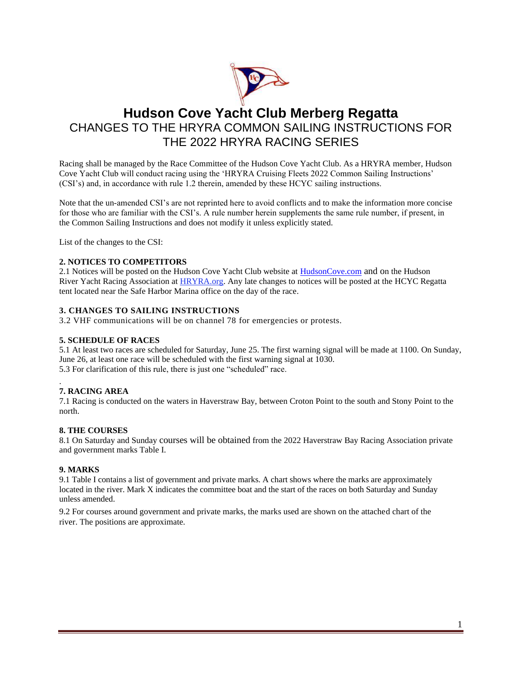

# **Hudson Cove Yacht Club Merberg Regatta**  CHANGES TO THE HRYRA COMMON SAILING INSTRUCTIONS FOR THE 2022 HRYRA RACING SERIES

Racing shall be managed by the Race Committee of the Hudson Cove Yacht Club. As a HRYRA member, Hudson Cove Yacht Club will conduct racing using the 'HRYRA Cruising Fleets 2022 Common Sailing Instructions' (CSI's) and, in accordance with rule 1.2 therein, amended by these HCYC sailing instructions.

Note that the un-amended CSI's are not reprinted here to avoid conflicts and to make the information more concise for those who are familiar with the CSI's. A rule number herein supplements the same rule number, if present, in the Common Sailing Instructions and does not modify it unless explicitly stated.

List of the changes to the CSI:

## **2. NOTICES TO COMPETITORS**

2.1 Notices will be posted on the Hudson Cove Yacht Club website at **HudsonCove.com** and on the Hudson River Yacht Racing Association at HRYRA.org. Any late changes to notices will be posted at the HCYC Regatta tent located near the Safe Harbor Marina office on the day of the race.

### **3. CHANGES TO SAILING INSTRUCTIONS**

3.2 VHF communications will be on channel 78 for emergencies or protests.

## **5. SCHEDULE OF RACES**

5.1 At least two races are scheduled for Saturday, June 25. The first warning signal will be made at 1100. On Sunday, June 26, at least one race will be scheduled with the first warning signal at 1030. 5.3 For clarification of this rule, there is just one "scheduled" race.

#### . **7. RACING AREA**

7.1 Racing is conducted on the waters in Haverstraw Bay, between Croton Point to the south and Stony Point to the north.

#### **8. THE COURSES**

8.1 On Saturday and Sunday courses will be obtained from the 2022 Haverstraw Bay Racing Association private and government marks Table I.

## **9. MARKS**

9.1 Table I contains a list of government and private marks. A chart shows where the marks are approximately located in the river. Mark X indicates the committee boat and the start of the races on both Saturday and Sunday unless amended.

9.2 For courses around government and private marks, the marks used are shown on the attached chart of the river. The positions are approximate.